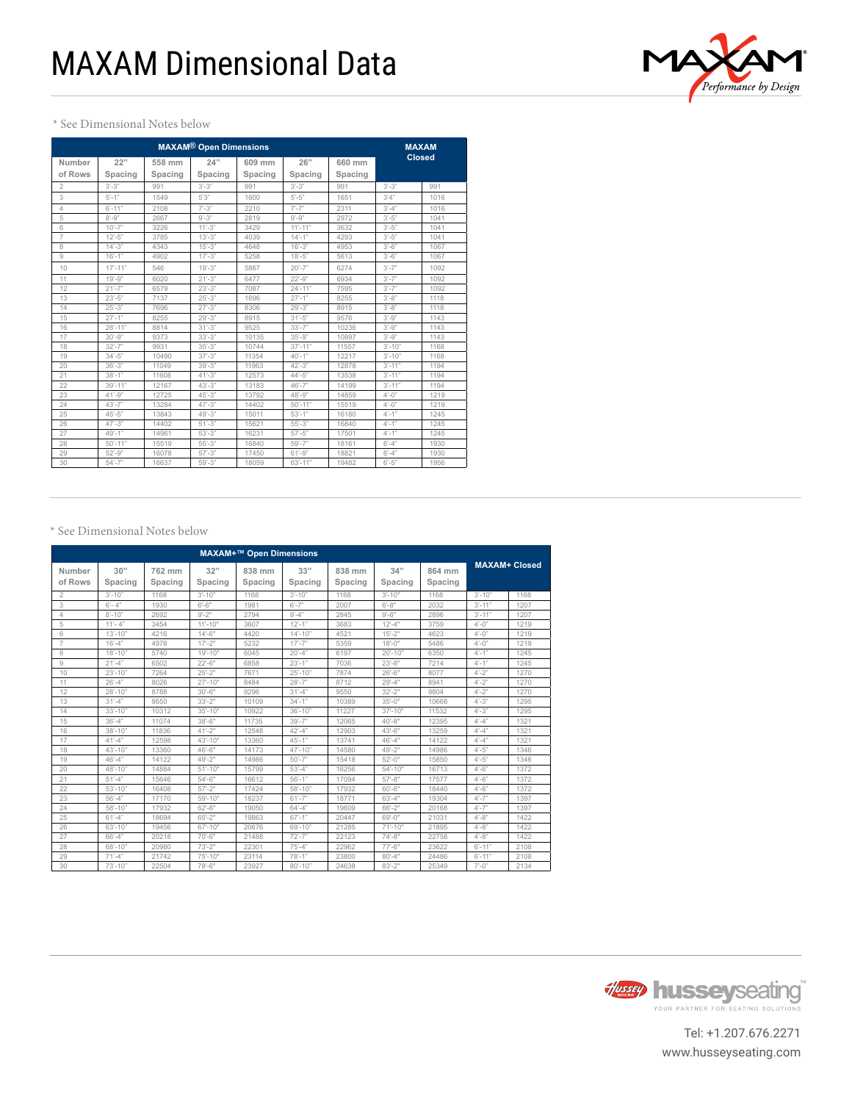

# \* See Dimensional Notes below

|                   |                | <b>MAXAM</b>      |                          |                   |                          |                   |            |               |
|-------------------|----------------|-------------------|--------------------------|-------------------|--------------------------|-------------------|------------|---------------|
| Number<br>of Rows | 22"<br>Spacing | 558 mm<br>Spacing | 24"<br>Spacing           | 609 mm<br>Spacing | 26"<br>Spacing           | 660 mm<br>Spacing |            | <b>Closed</b> |
| 2                 | $3' - 3"$      | 991               | $3' - 3"$                | 991               | $3' - 3"$                | 991               | $3'-3"$    | 991           |
| 3                 | $5'-1$ "       | 1549              | 5'3''                    | 1600              | $5'-5"$                  | 1651              | 3'4''      | 1016          |
| 4                 | $6' - 11"$     | 2108              | $7' - 3"$                | 2210              | $7' - 7"$                | 2311              | $3'-4"$    | 1016          |
| 5                 | $8'-9''$       | 2667              | $9' - 3"$                | 2819              | $9' - 9"$                | 2972              | $3'-5"$    | 1041          |
| 6                 | $10' - 7"$     | 3226              | $11' - 3"$               | 3429              | $11' - 11"$              | 3632              | $3'-5"$    | 1041          |
| $\overline{7}$    | $12 - 5"$      | 3785              | $13' - 3"$               | 4039              | $14'-1"$                 | 4293              | $3'-5"$    | 1041          |
| 8                 | $14 - 3$       | 4343              | $15' - 3"$               | 4648              | $16' - 3"$               | 4953              | $3'-6''$   | 1067          |
| 9                 | $16' - 1"$     | 4902              | $17' - 3"$               | 5258              | $18 - 5"$                | 5613              | $3'-6"$    | 1067          |
| 10                | $17' - 11"$    | 546               | $19' - 3"$               | 5867              | $20' - 7"$               | 6274              | $3'-7$ "   | 1092          |
| 11                | $19' - 9"$     | 6020              | $21' - 3"$               | 6477              | $22^{\circ} - 9^{\circ}$ | 6934              | $3'-7$ "   | 1092          |
| 12                | $21' - 7"$     | 6579              | $23'-3$ "                | 7087              | $24' - 11"$              | 7595              | $3'-7$ "   | 1092          |
| 13                | $23'-5$ "      | 7137              | $25' - 3"$               | 1696              | $27' - 1''$              | 8255              | $3' - 8"$  | 1118          |
| 14                | $25' - 3"$     | 7696              | $27' - 3"$               | 8306              | $29' - 3"$               | 8915              | $3' - 8"$  | 1118          |
| 15                | $27' - 1"$     | 8255              | $29' - 3"$               | 8915              | $31' - 5"$               | 9576              | $3'-9"$    | 1143          |
| 16                | $28' - 11"$    | 8814              | $31' - 3"$               | 9525              | $33'-7$ "                | 10236             | $3'-9"$    | 1143          |
| 17                | $30 - 9"$      | 9373              | $33' - 3"$               | 10135             | $35 - 9"$                | 10897             | $3' - 9"$  | 1143          |
| 18                | $32' - 7"$     | 9931              | $35' - 3"$               | 10744             | $37' - 11''$             | 11557             | $3'-10"$   | 1168          |
| 19                | $34'-5"$       | 10490             | $37' - 3''$              | 11354             | $40' - 1"$               | 12217             | $3'-10"$   | 1168          |
| 20                | $36' - 3"$     | 11049             | $39' - 3"$               | 11963             | $42^{\circ} - 3^{\circ}$ | 12878             | $3' - 11"$ | 1194          |
| 21                | $38' - 1"$     | 11608             | $41' - 3"$               | 12573             | $44 - 5"$                | 13538             | $3' - 11"$ | 1194          |
| 22                | $39' - 11"$    | 12167             | $43^{\circ} - 3^{\circ}$ | 13183             | $46' - 7"$               | 14199             | $3' - 11"$ | 1194          |
| 23                | $41' - 9"$     | 12725             | $45^{\circ} - 3^{\circ}$ | 13792             | $48 - 9"$                | 14859             | $4'-0$ "   | 1219          |
| 24                | $43' - 7"$     | 13284             | $47^{\circ} - 3^{\circ}$ | 14402             | $50' - 11"$              | 15519             | $4'-0$ "   | 1219          |
| 25                | $45 - 5"$      | 13843             | $49' - 3"$               | 15011             | $53'-1"$                 | 16180             | $4'-1$ "   | 1245          |
| 26                | $47' - 3''$    | 14402             | $51' - 3"$               | 15621             | $55 - 3"$                | 16840             | $4'-1$ "   | 1245          |
| 27                | $49' - 1"$     | 14961             | $53' - 3"$               | 16231             | $57 - 5"$                | 17501             | $4'-1$ "   | 1245          |
| 28                | $50' - 11"$    | 15519             | $55 - 3"$                | 16840             | $59' - 7"$               | 18161             | $6' - 4''$ | 1930          |
| 29                | $52 - 9"$      | 16078             | $57' - 3"$               | 17450             | $61' - 9"$               | 18821             | $6' - 4''$ | 1930          |
| 30                | $54' - 7"$     | 16637             | $59' - 3"$               | 18059             | $63' - 11"$              | 19482             | $6'-5"$    | 1956          |

## \* See Dimensional Notes below

| <b>MAXAM+™ Open Dimensions</b> |                |                   |                |                   |                |                   |                |                   |                         |      |
|--------------------------------|----------------|-------------------|----------------|-------------------|----------------|-------------------|----------------|-------------------|-------------------------|------|
| Number<br>of Rows              | 30"<br>Spacing | 762 mm<br>Spacing | 32"<br>Spacing | 838 mm<br>Spacing | 33"<br>Spacing | 838 mm<br>Spacing | 34"<br>Spacing | 864 mm<br>Spacing | <b>MAXAM+ Closed</b>    |      |
| $\overline{2}$                 | $3' - 10"$     | 1168              | $3' - 10''$    | 1168              | $3'-10"$       | 1168              | $3' - 10''$    | 1168              | $3'-10''$               | 1168 |
| 3                              | $6' - 4''$     | 1930              | $6'-6"$        | 1981              | $6'-7''$       | 2007              | $6 - 8"$       | 2032              | $3' - 11"$              | 1207 |
| $\overline{4}$                 | $8' - 10"$     | 2692              | $9 - 2"$       | 2794              | $9' - 4"$      | 2845              | $9 - 6"$       | 2896              | $3' - 11"$              | 1207 |
| 5                              | $11 - 4"$      | 3454              | $11'-10"$      | 3607              | $12 - 1"$      | 3683              | $12 - 4"$      | 3759              | $4'-0$ "                | 1219 |
| 6                              | $13' - 10"$    | 4216              | $14 - 6"$      | 4420              | $14' - 10''$   | 4521              | $15 - 2"$      | 4623              | $4'-0$ "                | 1219 |
| $\overline{7}$                 | $16' - 4"$     | 4978              | $17 - 2"$      | 5232              | $17' - 7''$    | 5359              | $18 - 0$ "     | 5486              | $4'-0$ "                | 1219 |
| 8                              | $18' - 10"$    | 5740              | $19' - 10"$    | 6045              | $20' - 4"$     | 6197              | $20' - 10"$    | 6350              | $4'-1"$                 | 1245 |
| $\overline{9}$                 | $21' - 4"$     | 6502              | $22 - 6"$      | 6858              | $23'-1"$       | 7036              | $23 - 8"$      | 7214              | $4'-1$ "                | 1245 |
| 10                             | $23' - 10"$    | 7264              | $25 - 2"$      | 7671              | $25' - 10"$    | 7874              | $26'-6"$       | 8077              | $4 - 2"$                | 1270 |
| 11                             | $26' - 4"$     | 8026              | $27 - 10"$     | 8484              | $28' - 7"$     | 8712              | $29' - 4"$     | 8941              | $4'-2"$                 | 1270 |
| 12                             | $28' - 10"$    | 8788              | $30'-6''$      | 9296              | $31' - 4"$     | 9550              | $32 - 2"$      | 9804              | $4'-2"$                 | 1270 |
| 13                             | $31' - 4"$     | 9550              | $33 - 2"$      | 10109             | $34'-1"$       | 10389             | $35 - 0$ "     | 10668             | $4'-3"$                 | 1295 |
| 14                             | $33' - 10"$    | 10312             | $35 - 10"$     | 10922             | $36' - 10''$   | 11227             | $37 - 10"$     | 11532             | $4'-3"$                 | 1295 |
| 15                             | $36' - 4''$    | 11074             | $38 - 6"$      | 11735             | $39' - 7"$     | 12065             | $40 - 8"$      | 12395             | $4'-4"$                 | 1321 |
| 16                             | $38' - 10"$    | 11836             | $41 - 2"$      | 12548             | $42 - 4"$      | 12903             | $43 - 6"$      | 13259             | $4'-4"$                 | 1321 |
| 17                             | $41' - 4"$     | 12598             | $43 - 10"$     | 13360             | $45' - 1"$     | 13741             | $46' - 4"$     | 14122             | $4'-4"$                 | 1321 |
| 18                             | $43' - 10"$    | 13360             | $46 - 6"$      | 14173             | $47 - 10"$     | 14580             | $49 - 2"$      | 14986             | $4'-5"$                 | 1346 |
| 19                             | $46' - 4"$     | 14122             | 49'-2"         | 14986             | $50' - 7"$     | 15418             | $52 - 0$ "     | 15850             | $4 - 5"$                | 1346 |
| 20                             | $48 - 10"$     | 14884             | $51 - 10"$     | 15799             | $53' - 4''$    | 16256             | $54 - 10"$     | 16713             | $4'-6"$                 | 1372 |
| 21                             | $51' - 4"$     | 15646             | $54 - 6"$      | 16612             | $56' - 1"$     | 17094             | $57 - 8"$      | 17577             | $4'-6"$                 | 1372 |
| 22                             | $53' - 10"$    | 16408             | $57 - 2"$      | 17424             | $58 - 10"$     | 17932             | $60 - 6"$      | 18440             | $4'-6"$                 | 1372 |
| 23                             | $56' - 4"$     | 17170             | $59' - 10''$   | 18237             | $61' - 7"$     | 18771             | $63'-4"$       | 19304             | $4'-7"$                 | 1397 |
| 24                             | $58 - 10"$     | 17932             | $62 - 6"$      | 19050             | $64' - 4"$     | 19609             | $66' - 2"$     | 20168             | $4'-7"$                 | 1397 |
| 25                             | $61' - 4"$     | 18694             | $65 - 2"$      | 19863             | $67' - 1"$     | 20447             | 69'-0"         | 21031             | $4'-8"$                 | 1422 |
| 26                             | $63' - 10"$    | 19456             | $67 - 10"$     | 20676             | $69' - 10"$    | 21285             | $71'-10"$      | 21895             | $4'-8"$                 | 1422 |
| 27                             | $66' - 4"$     | 20218             | $70'-6"$       | 21488             | $72' - 7"$     | 22123             | $74 - 8"$      | 22758             | $4'-8"$                 | 1422 |
| 28                             | $68' - 10"$    | 20980             | $73'-2"$       | 22301             | $75' - 4"$     | 22962             | $77 - 6"$      | 23622             | $6' - 11"$              | 2108 |
| 29                             | $71' - 4"$     | 21742             | 75'-10"        | 23114             | $78' - 1"$     | 23800             | $80 - 4"$      | 24486             | $6' - 11"$              | 2108 |
| 30                             | $73' - 10"$    | 22504             | 78'-6"         | 23927             | $80' - 10"$    | 24638             | $83 - 2"$      | 25349             | $7^{\circ} - 0^{\circ}$ | 2134 |



Tel: +1.207.676.2271 www.husseyseating.com